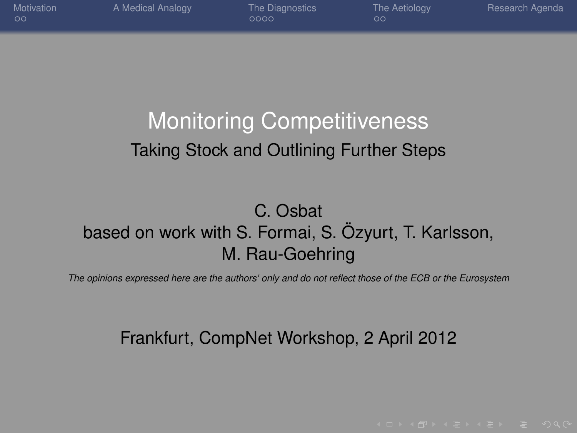| Motivation<br>- ററ | A Medical Analogy | The Diagnostics<br>0000 | The Aetiology<br>oο | Research Agenda |
|--------------------|-------------------|-------------------------|---------------------|-----------------|
|                    |                   |                         |                     |                 |

#### Monitoring Competitiveness Taking Stock and Outlining Further Steps

#### C. Osbat based on work with S. Formai, S. Özyurt, T. Karlsson, M. Rau-Goehring

*The opinions expressed here are the authors' only and do not reflect those of the ECB or the Eurosystem*

#### Frankfurt, CompNet Workshop, 2 April 2012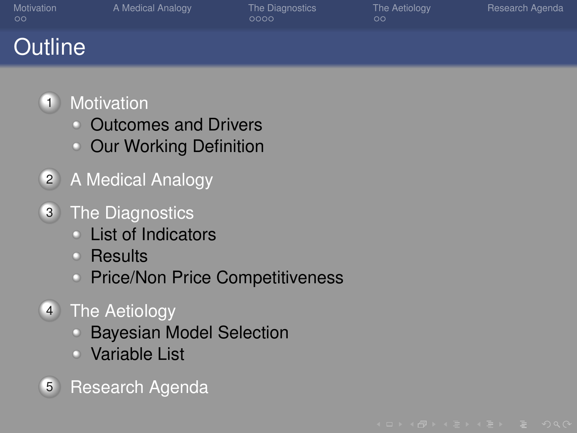| Motivation<br>$\circ$ | A Medical Analogy | The Diagnostics<br>0000 | The Aetiology<br>oο | Research Agenda |
|-----------------------|-------------------|-------------------------|---------------------|-----------------|
| <b>Outline</b>        |                   |                         |                     |                 |



- [Outcomes and Drivers](#page-2-0)
- [Our Working Definition](#page-3-0)
- 2 [A Medical Analogy](#page-4-0)
- **3** [The Diagnostics](#page-5-0)
	- [List of Indicators](#page-5-0)
	- [Results](#page-6-0)
	- **[Price/Non Price Competitiveness](#page-7-0)**
- 4 [The Aetiology](#page-9-0)
	- **[Bayesian Model Selection](#page-9-0)**
	- [Variable List](#page-10-0)
- 5 [Research Agenda](#page-11-0)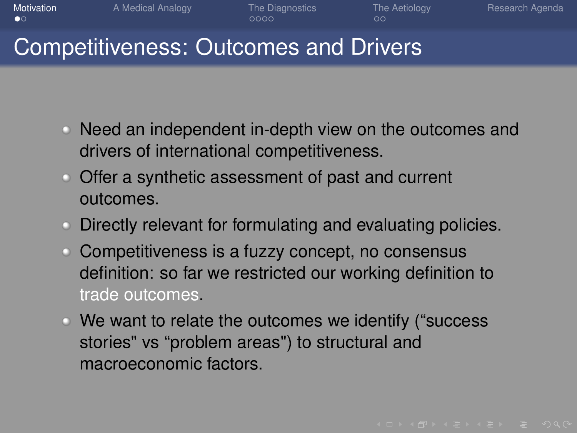**[Motivation](#page-2-0) A** Medical Analogy [The Diagnostics](#page-5-0) [The Aetiology](#page-9-0) [Research Agenda](#page-11-0)

#### Competitiveness: Outcomes and Drivers

- Need an independent in-depth view on the outcomes and drivers of international competitiveness.
- Offer a synthetic assessment of past and current outcomes.
- Directly relevant for formulating and evaluating policies.
- Competitiveness is a fuzzy concept, no consensus definition: so far we restricted our working definition to trade outcomes.
- <span id="page-2-0"></span>We want to relate the outcomes we identify ("success stories" vs "problem areas") to structural and macroeconomic factors.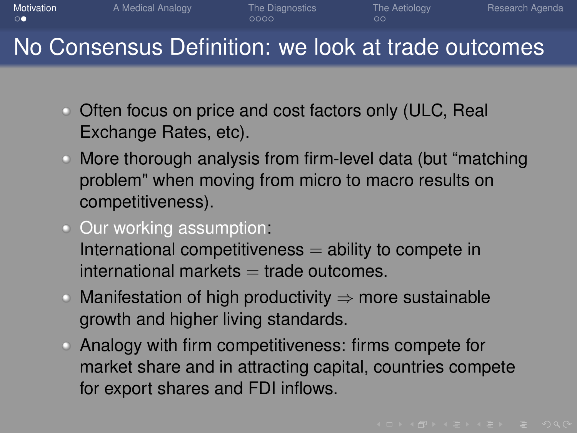**[Motivation](#page-2-0) A** Medical Analogy [The Diagnostics](#page-5-0) [The Aetiology](#page-9-0) [Research Agenda](#page-11-0)

#### No Consensus Definition: we look at trade outcomes

- Often focus on price and cost factors only (ULC, Real Exchange Rates, etc).
- More thorough analysis from firm-level data (but "matching problem" when moving from micro to macro results on competitiveness).
- Our working assumption: International competitiveness  $=$  ability to compete in  $international$  markets  $=$  trade outcomes.
- $\circ$  Manifestation of high productivity  $\Rightarrow$  more sustainable growth and higher living standards.
- <span id="page-3-0"></span>Analogy with firm competitiveness: firms compete for market share and in attracting capital, countries compete for export shares and FDI inflows.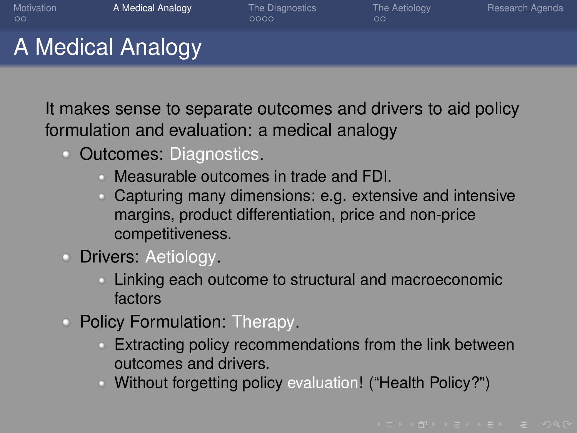[Motivation](#page-2-0) **[A Medical Analogy](#page-4-0) [The Diagnostics](#page-5-0) [The Aetiology](#page-9-0) [Research Agenda](#page-11-0)** 

A Medical Analogy

It makes sense to separate outcomes and drivers to aid policy formulation and evaluation: a medical analogy

- Outcomes: Diagnostics.
	- Measurable outcomes in trade and FDI.
	- Capturing many dimensions: e.g. extensive and intensive margins, product differentiation, price and non-price competitiveness.
- **Drivers: Aetiology.** 
	- Linking each outcome to structural and macroeconomic factors
- <span id="page-4-0"></span>• Policy Formulation: Therapy.
	- Extracting policy recommendations from the link between outcomes and drivers.
	- Without forgetting policy evaluation! ("Health Policy?")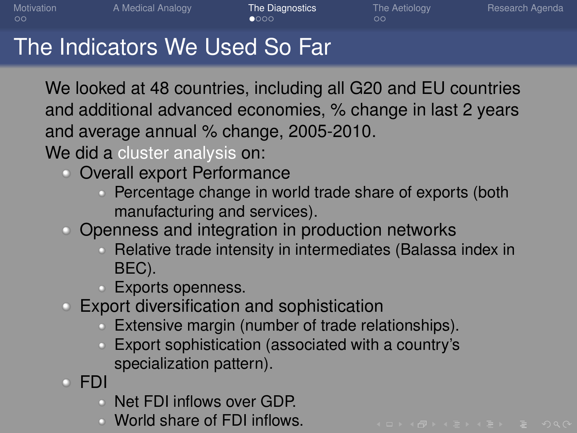# The Indicators We Used So Far

We looked at 48 countries, including all G20 and EU countries and additional advanced economies, % change in last 2 years and average annual % change, 2005-2010.

We did a cluster analysis on:

- Overall export Performance
	- Percentage change in world trade share of exports (both manufacturing and services).
- Openness and integration in production networks
	- Relative trade intensity in intermediates (Balassa index in BEC).
	- **Exports openness.**
- Export diversification and sophistication
	- Extensive margin (number of trade relationships).
	- Export sophistication (associated with a country's specialization pattern).
- <span id="page-5-0"></span>FDI
	- Net FDI inflows over GDP.
	- World share of FDI inflows.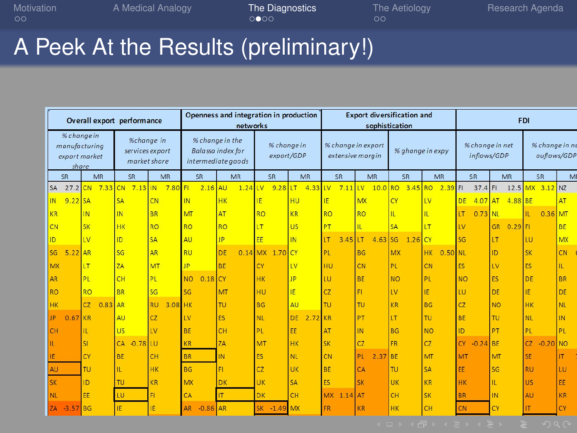[Motivation](#page-2-0) [A Medical Analogy](#page-4-0) **[The Diagnostics](#page-5-0)** [The Aetiology](#page-9-0) [Research Agenda](#page-11-0)<br>
oo oo

#### A Peek At the Results (preliminary!)

<span id="page-6-0"></span>

|                                                                                                         |           |            |                 | Overall export performance                                                              | Openness and integration in production<br>networks |                                        |            |                         |                                | <b>Export diversification and</b><br>sophistication |                        |                                     | <b>FDI</b>                 |                        |  |
|---------------------------------------------------------------------------------------------------------|-----------|------------|-----------------|-----------------------------------------------------------------------------------------|----------------------------------------------------|----------------------------------------|------------|-------------------------|--------------------------------|-----------------------------------------------------|------------------------|-------------------------------------|----------------------------|------------------------|--|
| % change in<br>%change in<br>manufacturing<br>services export<br>export market<br>market share<br>share |           |            |                 | % change in the<br>% change in<br>Balassa index for<br>export/GDP<br>intermediate goods |                                                    | % change in export<br>extensive margin |            | % ghange in expy        | % change in net<br>inflows/GDP | % change in ne<br>ouflows/GDP                       |                        |                                     |                            |                        |  |
|                                                                                                         |           | SR         | MR              | SR                                                                                      | MR                                                 | SR                                     | <b>MR</b>  | <b>SR</b>               | <b>MR</b>                      | SR                                                  | <b>MR</b>              | SR<br>MR                            | <b>SR</b><br><b>MR</b>     | SR<br>MI               |  |
|                                                                                                         | SA        | 27.2 CN    | $7.33$ CN       | $7.13$ IN                                                                               | 7.80 FI                                            |                                        | $2.16$ AU  | $1.24$ LV<br>$9.28$ ILT | $4.33$ LV                      | 7.11                                                | $10.0$ RO<br><b>LV</b> | 3.45<br><b>RO</b><br>$2.39$ FI      | $37.4$ FI                  | 12.5 MX 3.12 NZ        |  |
|                                                                                                         | IN        | $9.22$ SA  |                 | <b>SA</b>                                                                               | CN                                                 | <b>IN</b>                              | <b>HK</b>  | ΙĒ                      | HU                             | IE                                                  | <b>MX</b>              | CY<br>LV                            | $4.07$ AT<br>4.88 BE<br>DE | AT                     |  |
|                                                                                                         | KR        |            | <b>IN</b>       | IN                                                                                      | <b>BR</b>                                          | MT                                     | AT         | <b>RO</b>               | KR                             | <b>RO</b>                                           | <b>RO</b>              | H.<br>Ш                             | $0.73$ NL<br>LT            | $0.36$ MT<br>П.        |  |
|                                                                                                         | <b>CN</b> |            | <b>SK</b>       | <b>HK</b>                                                                               | <b>RO</b>                                          | <b>RO</b>                              | <b>RO</b>  | LT                      | <b>US</b>                      | PT                                                  | m                      | <b>SA</b><br>IТ                     | 1V<br>GR<br>$0.29$ FI      | BE                     |  |
|                                                                                                         | ID        |            | <b>LV</b>       | ID.                                                                                     | <b>SA</b>                                          | AU                                     | <b>JP</b>  | EE                      | IN.                            | LT<br>3.45                                          | ILТ<br>4.63            | 1.26 CY<br>SG                       | SG<br>LT                   | LU.<br><b>MX</b>       |  |
|                                                                                                         | SG        | 5.22       | <b>AR</b>       | <b>SG</b>                                                                               | AR                                                 | <b>RU</b>                              | DE         | $0.14$ MX<br>1.70       | CY                             | <b>PL</b>                                           | <b>BG</b>              | <b>MX</b><br><b>HK</b><br>$0.50$ NL | ID.                        | <b>SK</b><br>CN.       |  |
|                                                                                                         | MX        |            | LT              | ZA                                                                                      | MT                                                 | <b>JP</b>                              | <b>BE</b>  | CY                      | <b>LV</b>                      | HU                                                  | <b>CN</b>              | PL.<br>CN                           | <b>LV</b><br><b>FS</b>     | <b>ES</b><br>π         |  |
|                                                                                                         | <b>AR</b> |            | PL              | CH                                                                                      | PL                                                 | <b>NO</b><br>0.18                      | <b>CY</b>  | <b>HK</b>               | IP                             | τu                                                  | <b>BE</b>              | <b>NO</b><br>PL.                    | <b>ES</b><br><b>NO</b>     | DE<br><b>BR</b>        |  |
|                                                                                                         | <b>RO</b> |            | <b>RO</b>       | <b>BR</b>                                                                               | SG                                                 | SG                                     | MT         | HU                      | IE.                            | CZ                                                  | FI.                    | ΙE<br>$\overline{1V}$               | DE<br><b>LU</b>            | IE<br>DE               |  |
|                                                                                                         | <b>HK</b> |            | CZ<br>$0.83$ AR |                                                                                         | <b>RU</b><br>3.08 HK                               |                                        | TU.        | <b>BG</b>               | AU                             | TU.                                                 | TU                     | <b>KR</b><br><b>BG</b>              | <b>CZ</b><br><b>NO</b>     | <b>HK</b><br><b>NL</b> |  |
|                                                                                                         | JP.       | 0.67       | <b>KR</b>       | AU                                                                                      | CZ                                                 | LV                                     | ES         | <b>NL</b>               | <b>DE</b><br>$2.72$ KR         |                                                     | PT                     | LТ<br>TU.                           | BE<br>TU.                  | <b>NL</b><br><b>IN</b> |  |
|                                                                                                         | CH        |            | π               | <b>US</b>                                                                               | <b>LV</b>                                          | <b>BE</b>                              | CH         | PL.                     | EE                             | AT                                                  | <b>IN</b>              | <b>NO</b><br><b>BG</b>              | ID<br>PT                   | PL<br>PI               |  |
|                                                                                                         |           |            | <b>SI</b>       | CA<br>$-0.78$                                                                           | ΙÚ                                                 | KR                                     | <b>ZA</b>  | MT                      | <b>HK</b>                      | <b>SK</b>                                           | CZ                     | FR<br>CZ                            | $-0.24$ BE<br>CY           | CZ<br>$-0.20$ NO       |  |
|                                                                                                         | IE        |            | CY              | <b>BE</b>                                                                               | CH                                                 | <b>BR</b>                              | <b>IN</b>  | <b>ES</b>               | NL.                            | CN                                                  | PL<br>2.37             | MT<br><b>BE</b>                     | MT<br>MT                   | <b>SE</b><br>ΙT        |  |
|                                                                                                         | <b>AU</b> |            | <b>TU</b>       | ÏĹ.                                                                                     | HK                                                 | <b>BG</b>                              | FL         | CZ                      | <b>UK</b>                      | <b>BE</b>                                           | CA                     | <b>TU</b><br><b>SA</b>              | EE<br>SG                   | <b>RU</b><br>LU        |  |
|                                                                                                         | <b>SK</b> |            | ID              | <b>TU</b>                                                                               | KR                                                 | MX                                     | <b>DK</b>  | UK                      | <b>SA</b>                      | <b>FS</b>                                           | <b>SK</b>              | KR<br>UK                            | H.<br><b>HK</b>            | <b>US</b><br>EE        |  |
|                                                                                                         | NI.       |            | EE              | <b>LU</b>                                                                               | FI                                                 | CA                                     | <b>IT</b>  | DK                      | CH                             | <b>MX</b><br>1.14                                   | <b>AT</b>              | <b>SK</b><br>CH                     | IN.<br><b>BR</b>           | AU<br>KR               |  |
|                                                                                                         | ZA        | $-3.57$ BG |                 | ΙĒ                                                                                      | ΙĒ                                                 | <b>AR</b>                              | $-0.86$ AR | SK -1.49                | <b>IMX</b>                     | <b>FR</b>                                           | <b>KR</b>              | CH<br><b>HK</b>                     | CY<br>CN                   | CY<br>IT               |  |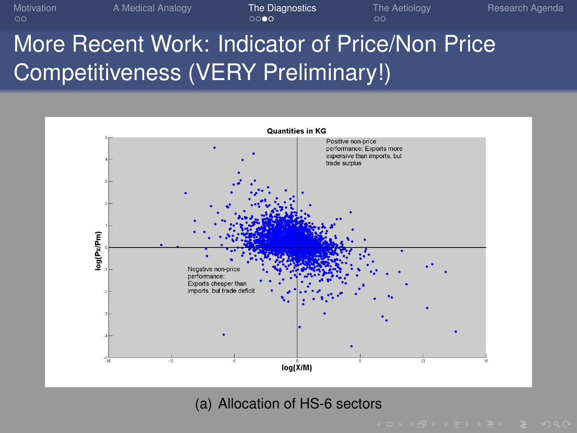[Motivation](#page-2-0) **[A Medical Analogy](#page-4-0) [The Diagnostics](#page-5-0)** [The Aetiology](#page-9-0) [Research Agenda](#page-11-0) More Recent Work: Indicator of Price/Non Price Competitiveness (VERY Preliminary!)



#### <span id="page-7-0"></span>(a) Allocation of HS-6 sectors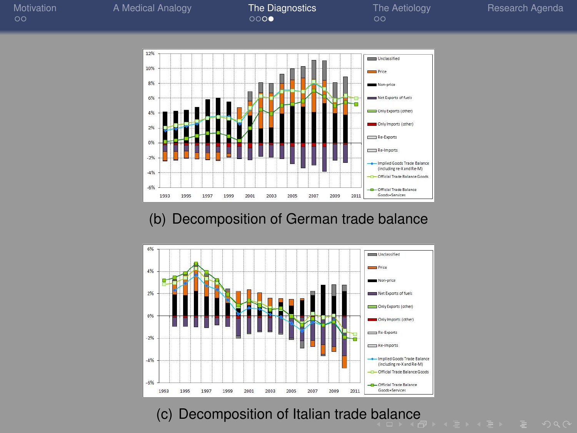

(b) Decomposition of German trade balance



<span id="page-8-0"></span>(c) Decomposition of Italian trade [ba](#page-7-0)l[an](#page-9-0)[c](#page-7-0)[e](#page-8-0)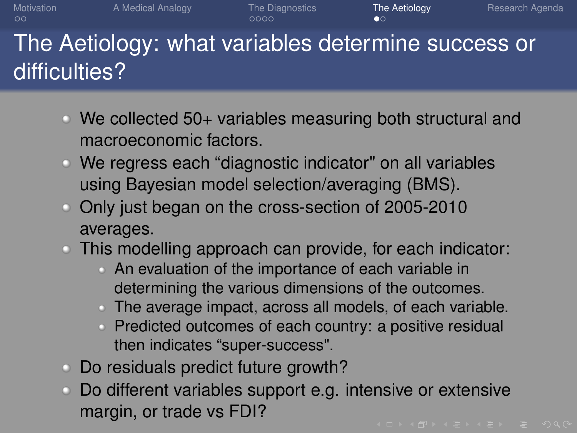[Motivation](#page-2-0) **[A Medical Analogy](#page-4-0) [The Diagnostics](#page-5-0) [The Aetiology](#page-9-0)** [Research Agenda](#page-11-0) The Aetiology: what variables determine success or difficulties?

- We collected 50+ variables measuring both structural and macroeconomic factors.
- We regress each "diagnostic indicator" on all variables using Bayesian model selection/averaging (BMS).
- Only just began on the cross-section of 2005-2010 averages.
- This modelling approach can provide, for each indicator:
	- An evaluation of the importance of each variable in determining the various dimensions of the outcomes.
	- The average impact, across all models, of each variable.
	- Predicted outcomes of each country: a positive residual then indicates "super-success".
- Do residuals predict future growth?
- <span id="page-9-0"></span>Do different variables support e.g. intensive or extensive margin, or trade vs FDI?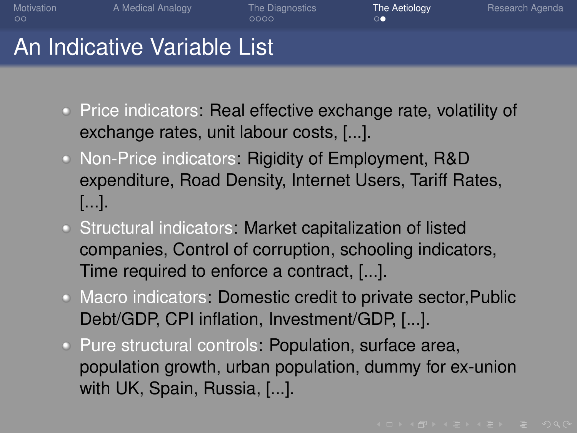[Motivation](#page-2-0) **[A Medical Analogy](#page-4-0) [The Diagnostics](#page-5-0) [The Aetiology](#page-9-0)** [Research Agenda](#page-11-0)

#### An Indicative Variable List

- **Price indicators: Real effective exchange rate, volatility of** exchange rates, unit labour costs, [...].
- Non-Price indicators: Rigidity of Employment, R&D expenditure, Road Density, Internet Users, Tariff Rates, [...].
- Structural indicators: Market capitalization of listed companies, Control of corruption, schooling indicators, Time required to enforce a contract, [...].
- Macro indicators: Domestic credit to private sector,Public Debt/GDP, CPI inflation, Investment/GDP, [...].
- <span id="page-10-0"></span>• Pure structural controls: Population, surface area, population growth, urban population, dummy for ex-union with UK, Spain, Russia, [...].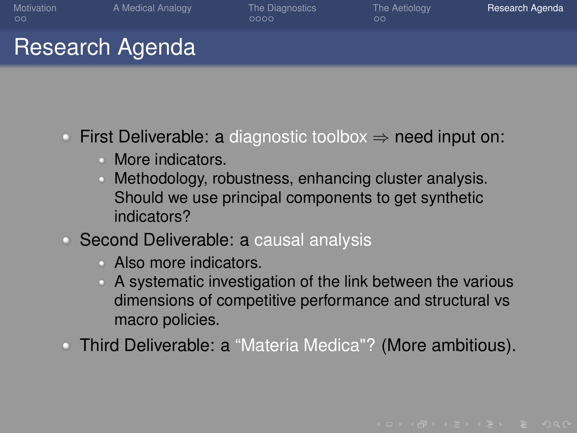### Research Agenda

- $\bullet$  First Deliverable: a diagnostic toolbox  $\Rightarrow$  need input on:
	- More indicators.
	- Methodology, robustness, enhancing cluster analysis.  $\circ$ Should we use principal components to get synthetic indicators?
- Second Deliverable: a causal analysis
	- Also more indicators.
	- A systematic investigation of the link between the various dimensions of competitive performance and structural vs macro policies.
- <span id="page-11-0"></span>Third Deliverable: a "Materia Medica"? (More ambitious).